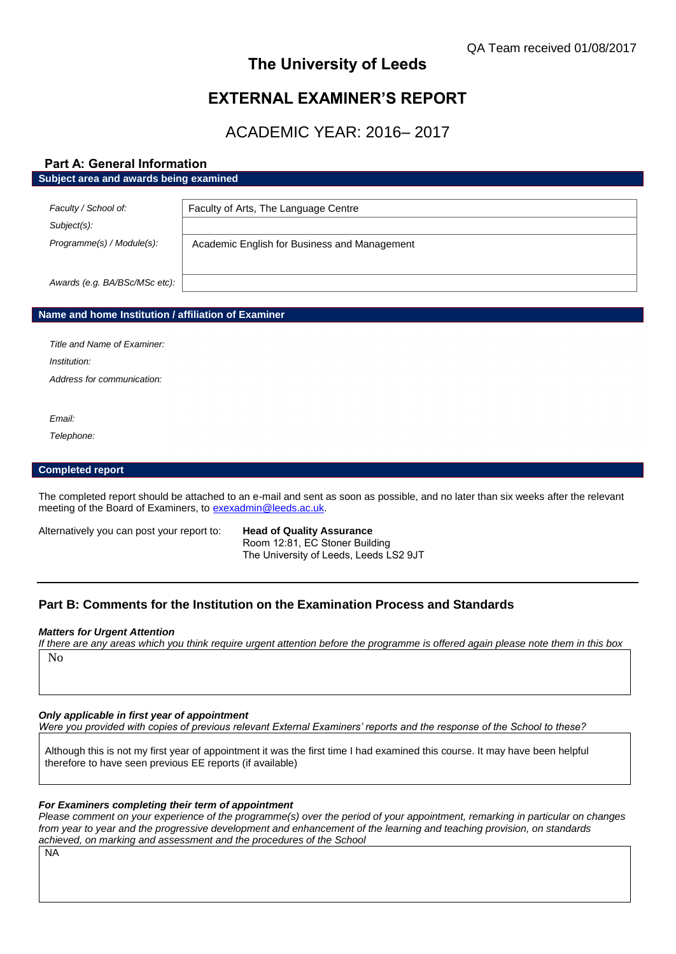# **The University of Leeds**

# **EXTERNAL EXAMINER'S REPORT**

# ACADEMIC YEAR: 2016– 2017

# **Part A: General Information**

#### **Subject area and awards being examined**

| Faculty / School of:          | Faculty of Arts, The Language Centre         |
|-------------------------------|----------------------------------------------|
| Subject(s):                   |                                              |
| Programme(s) / Module(s):     | Academic English for Business and Management |
| Awards (e.g. BA/BSc/MSc etc): |                                              |

#### **Name and home Institution / affiliation of Examiner**

*Title and Name of Examiner: Institution: Address for communication:*

*Email:*

*Telephone:*

### **Completed report**

The completed report should be attached to an e-mail and sent as soon as possible, and no later than six weeks after the relevant meeting of the Board of Examiners, to [exexadmin@leeds.ac.uk.](mailto:exexadmin@leeds.ac.uk)

Alternatively you can post your report to: **Head of Quality Assurance**

Room 12:81, EC Stoner Building The University of Leeds, Leeds LS2 9JT

# **Part B: Comments for the Institution on the Examination Process and Standards**

#### *Matters for Urgent Attention*

*If there are any areas which you think require urgent attention before the programme is offered again please note them in this box* No

*Only applicable in first year of appointment*

*Were you provided with copies of previous relevant External Examiners' reports and the response of the School to these?* 

Although this is not my first year of appointment it was the first time I had examined this course. It may have been helpful therefore to have seen previous EE reports (if available)

#### *For Examiners completing their term of appointment*

*Please comment on your experience of the programme(s) over the period of your appointment, remarking in particular on changes from year to year and the progressive development and enhancement of the learning and teaching provision, on standards achieved, on marking and assessment and the procedures of the School*

NA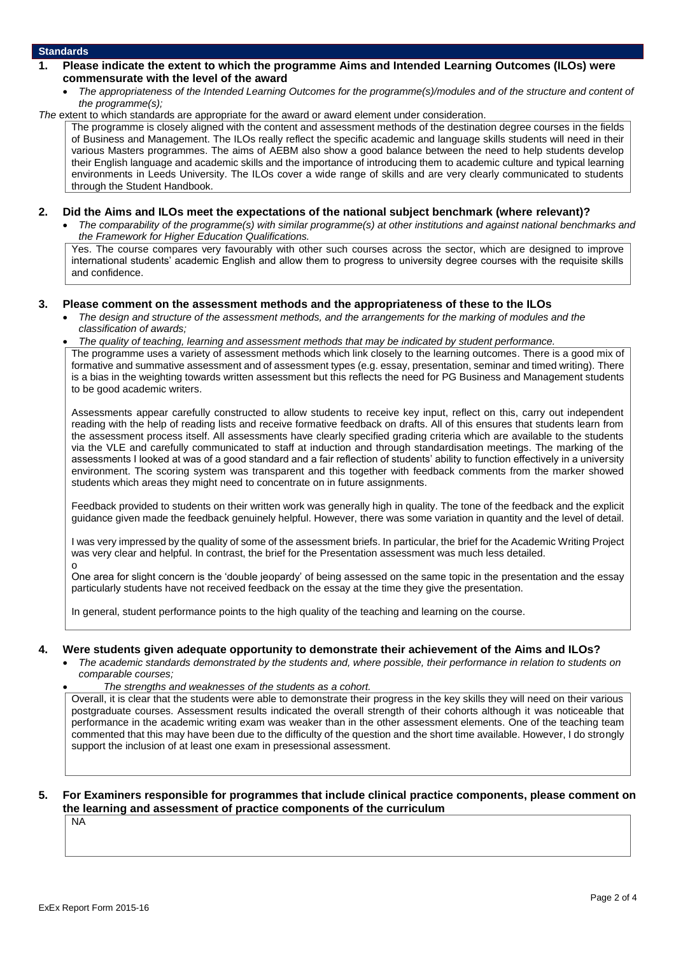### **Standards**

- **1. Please indicate the extent to which the programme Aims and Intended Learning Outcomes (ILOs) were commensurate with the level of the award**
	- *The appropriateness of the Intended Learning Outcomes for the programme(s)/modules and of the structure and content of the programme(s);*

*The* extent to which standards are appropriate for the award or award element under consideration.

The programme is closely aligned with the content and assessment methods of the destination degree courses in the fields of Business and Management. The ILOs really reflect the specific academic and language skills students will need in their various Masters programmes. The aims of AEBM also show a good balance between the need to help students develop their English language and academic skills and the importance of introducing them to academic culture and typical learning environments in Leeds University. The ILOs cover a wide range of skills and are very clearly communicated to students through the Student Handbook.

### **2. Did the Aims and ILOs meet the expectations of the national subject benchmark (where relevant)?**

 *The comparability of the programme(s) with similar programme(s) at other institutions and against national benchmarks and the Framework for Higher Education Qualifications.*

Yes. The course compares very favourably with other such courses across the sector, which are designed to improve international students' academic English and allow them to progress to university degree courses with the requisite skills and confidence.

### **3. Please comment on the assessment methods and the appropriateness of these to the ILOs**

- *The design and structure of the assessment methods, and the arrangements for the marking of modules and the classification of awards;*
- *The quality of teaching, learning and assessment methods that may be indicated by student performance.*

The programme uses a variety of assessment methods which link closely to the learning outcomes. There is a good mix of formative and summative assessment and of assessment types (e.g. essay, presentation, seminar and timed writing). There is a bias in the weighting towards written assessment but this reflects the need for PG Business and Management students to be good academic writers.

Assessments appear carefully constructed to allow students to receive key input, reflect on this, carry out independent reading with the help of reading lists and receive formative feedback on drafts. All of this ensures that students learn from the assessment process itself. All assessments have clearly specified grading criteria which are available to the students via the VLE and carefully communicated to staff at induction and through standardisation meetings. The marking of the assessments I looked at was of a good standard and a fair reflection of students' ability to function effectively in a university environment. The scoring system was transparent and this together with feedback comments from the marker showed students which areas they might need to concentrate on in future assignments.

Feedback provided to students on their written work was generally high in quality. The tone of the feedback and the explicit guidance given made the feedback genuinely helpful. However, there was some variation in quantity and the level of detail.

I was very impressed by the quality of some of the assessment briefs. In particular, the brief for the Academic Writing Project was very clear and helpful. In contrast, the brief for the Presentation assessment was much less detailed. o

One area for slight concern is the 'double jeopardy' of being assessed on the same topic in the presentation and the essay particularly students have not received feedback on the essay at the time they give the presentation.

In general, student performance points to the high quality of the teaching and learning on the course.

## **4. Were students given adequate opportunity to demonstrate their achievement of the Aims and ILOs?**

- *The academic standards demonstrated by the students and, where possible, their performance in relation to students on comparable courses;* 
	- *The strengths and weaknesses of the students as a cohort.*

Overall, it is clear that the students were able to demonstrate their progress in the key skills they will need on their various postgraduate courses. Assessment results indicated the overall strength of their cohorts although it was noticeable that performance in the academic writing exam was weaker than in the other assessment elements. One of the teaching team commented that this may have been due to the difficulty of the question and the short time available. However, I do strongly support the inclusion of at least one exam in presessional assessment.

## **5. For Examiners responsible for programmes that include clinical practice components, please comment on the learning and assessment of practice components of the curriculum**

NA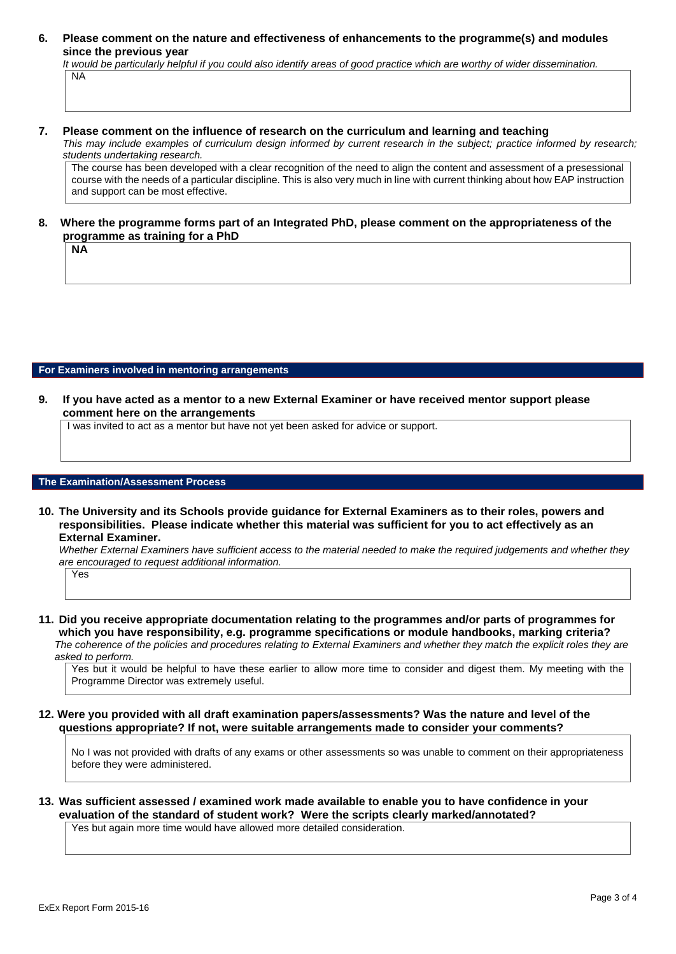**6. Please comment on the nature and effectiveness of enhancements to the programme(s) and modules since the previous year**

*It would be particularly helpful if you could also identify areas of good practice which are worthy of wider dissemination.* 

NA

**NA**

### **7. Please comment on the influence of research on the curriculum and learning and teaching**

*This may include examples of curriculum design informed by current research in the subject; practice informed by research; students undertaking research.* 

The course has been developed with a clear recognition of the need to align the content and assessment of a presessional course with the needs of a particular discipline. This is also very much in line with current thinking about how EAP instruction and support can be most effective.

## **8. Where the programme forms part of an Integrated PhD, please comment on the appropriateness of the programme as training for a PhD**

#### **For Examiners involved in mentoring arrangements**

**9. If you have acted as a mentor to a new External Examiner or have received mentor support please comment here on the arrangements**

I was invited to act as a mentor but have not yet been asked for advice or support.

#### **The Examination/Assessment Process**

**10. The University and its Schools provide guidance for External Examiners as to their roles, powers and responsibilities. Please indicate whether this material was sufficient for you to act effectively as an External Examiner.**

*Whether External Examiners have sufficient access to the material needed to make the required judgements and whether they are encouraged to request additional information.*

Yes

**11. Did you receive appropriate documentation relating to the programmes and/or parts of programmes for which you have responsibility, e.g. programme specifications or module handbooks, marking criteria?** *The coherence of the policies and procedures relating to External Examiners and whether they match the explicit roles they are asked to perform.* 

Yes but it would be helpful to have these earlier to allow more time to consider and digest them. My meeting with the Programme Director was extremely useful.

**12. Were you provided with all draft examination papers/assessments? Was the nature and level of the questions appropriate? If not, were suitable arrangements made to consider your comments?**

No I was not provided with drafts of any exams or other assessments so was unable to comment on their appropriateness before they were administered.

# **13. Was sufficient assessed / examined work made available to enable you to have confidence in your evaluation of the standard of student work? Were the scripts clearly marked/annotated?**

Yes but again more time would have allowed more detailed consideration.